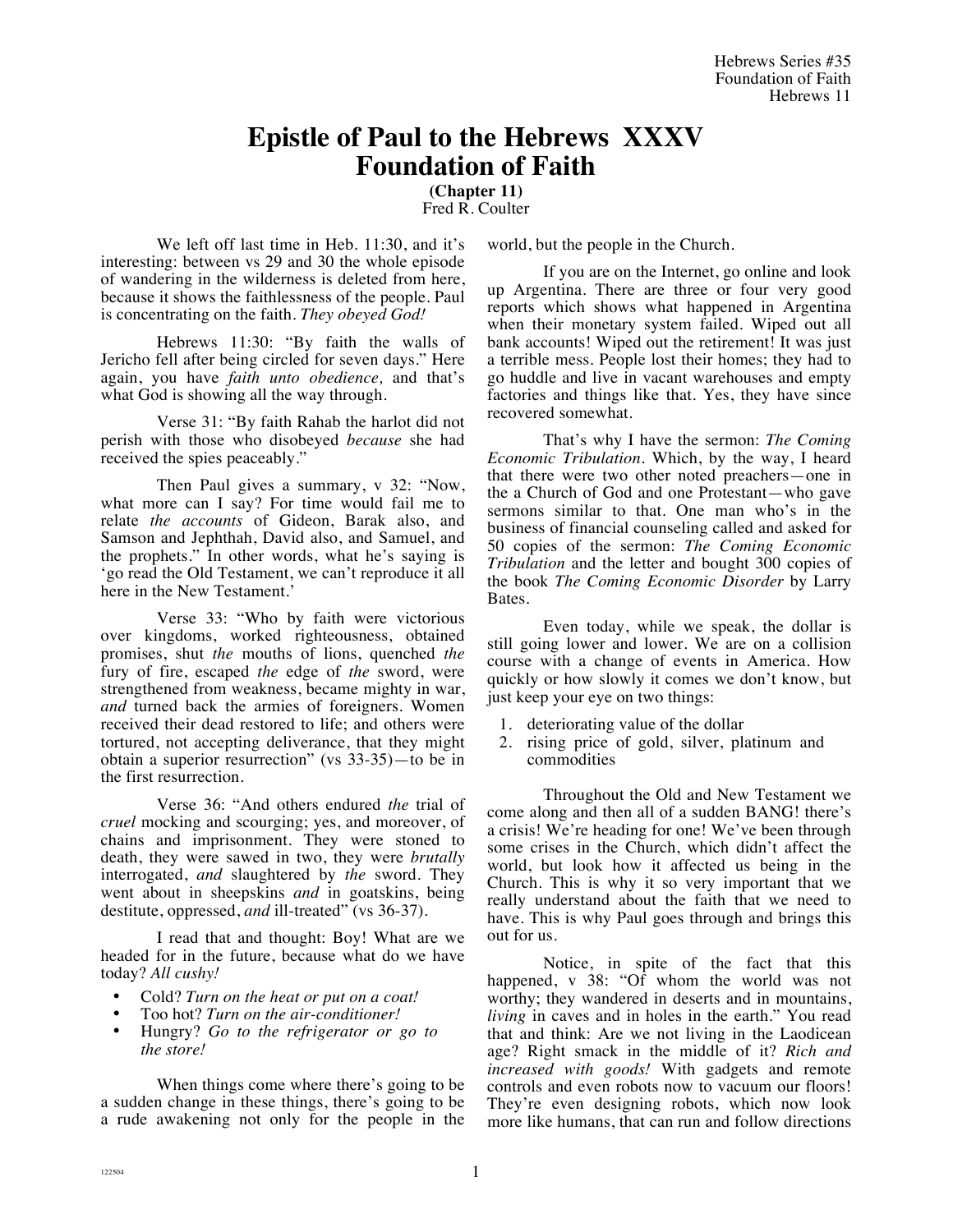# **Epistle of Paul to the Hebrews XXXV Foundation of Faith**

**(Chapter 11)**

Fred R. Coulter

We left off last time in Heb. 11:30, and it's interesting: between vs 29 and 30 the whole episode of wandering in the wilderness is deleted from here, because it shows the faithlessness of the people. Paul is concentrating on the faith. *They obeyed God!* 

Hebrews 11:30: "By faith the walls of Jericho fell after being circled for seven days." Here again, you have *faith unto obedience,* and that's what God is showing all the way through.

Verse 31: "By faith Rahab the harlot did not perish with those who disobeyed *because* she had received the spies peaceably."

Then Paul gives a summary, v 32: "Now, what more can I say? For time would fail me to relate *the accounts* of Gideon, Barak also, and Samson and Jephthah, David also, and Samuel, and the prophets." In other words, what he's saying is 'go read the Old Testament, we can't reproduce it all here in the New Testament.'

Verse 33: "Who by faith were victorious over kingdoms, worked righteousness, obtained promises, shut *the* mouths of lions, quenched *the* fury of fire, escaped *the* edge of *the* sword, were strengthened from weakness, became mighty in war, *and* turned back the armies of foreigners. Women received their dead restored to life; and others were tortured, not accepting deliverance, that they might obtain a superior resurrection" (vs 33-35)—to be in the first resurrection.

Verse 36: "And others endured *the* trial of *cruel* mocking and scourging; yes, and moreover, of chains and imprisonment. They were stoned to death, they were sawed in two, they were *brutally* interrogated, *and* slaughtered by *the* sword. They went about in sheepskins *and* in goatskins, being destitute, oppressed, and ill-treated" (vs 36-37).

I read that and thought: Boy! What are we headed for in the future, because what do we have today? *All cushy!*

- Cold? *Turn on the heat or put on a coat!*
- Too hot? *Turn on the air-conditioner!*
- Hungry? *Go to the refrigerator or go to the store!*

When things come where there's going to be a sudden change in these things, there's going to be a rude awakening not only for the people in the world, but the people in the Church.

If you are on the Internet, go online and look up Argentina. There are three or four very good reports which shows what happened in Argentina when their monetary system failed. Wiped out all bank accounts! Wiped out the retirement! It was just a terrible mess. People lost their homes; they had to go huddle and live in vacant warehouses and empty factories and things like that. Yes, they have since recovered somewhat.

That's why I have the sermon: *The Coming Economic Tribulation.* Which, by the way, I heard that there were two other noted preachers—one in the a Church of God and one Protestant—who gave sermons similar to that. One man who's in the business of financial counseling called and asked for 50 copies of the sermon: *The Coming Economic Tribulation* and the letter and bought 300 copies of the book *The Coming Economic Disorder* by Larry Bates.

Even today, while we speak, the dollar is still going lower and lower. We are on a collision course with a change of events in America. How quickly or how slowly it comes we don't know, but just keep your eye on two things:

- 1. deteriorating value of the dollar
- 2. rising price of gold, silver, platinum and commodities

Throughout the Old and New Testament we come along and then all of a sudden BANG! there's a crisis! We're heading for one! We've been through some crises in the Church, which didn't affect the world, but look how it affected us being in the Church. This is why it so very important that we really understand about the faith that we need to have. This is why Paul goes through and brings this out for us.

Notice, in spite of the fact that this happened, v 38: "Of whom the world was not worthy; they wandered in deserts and in mountains, *living* in caves and in holes in the earth." You read that and think: Are we not living in the Laodicean age? Right smack in the middle of it? *Rich and increased with goods!* With gadgets and remote controls and even robots now to vacuum our floors! They're even designing robots, which now look more like humans, that can run and follow directions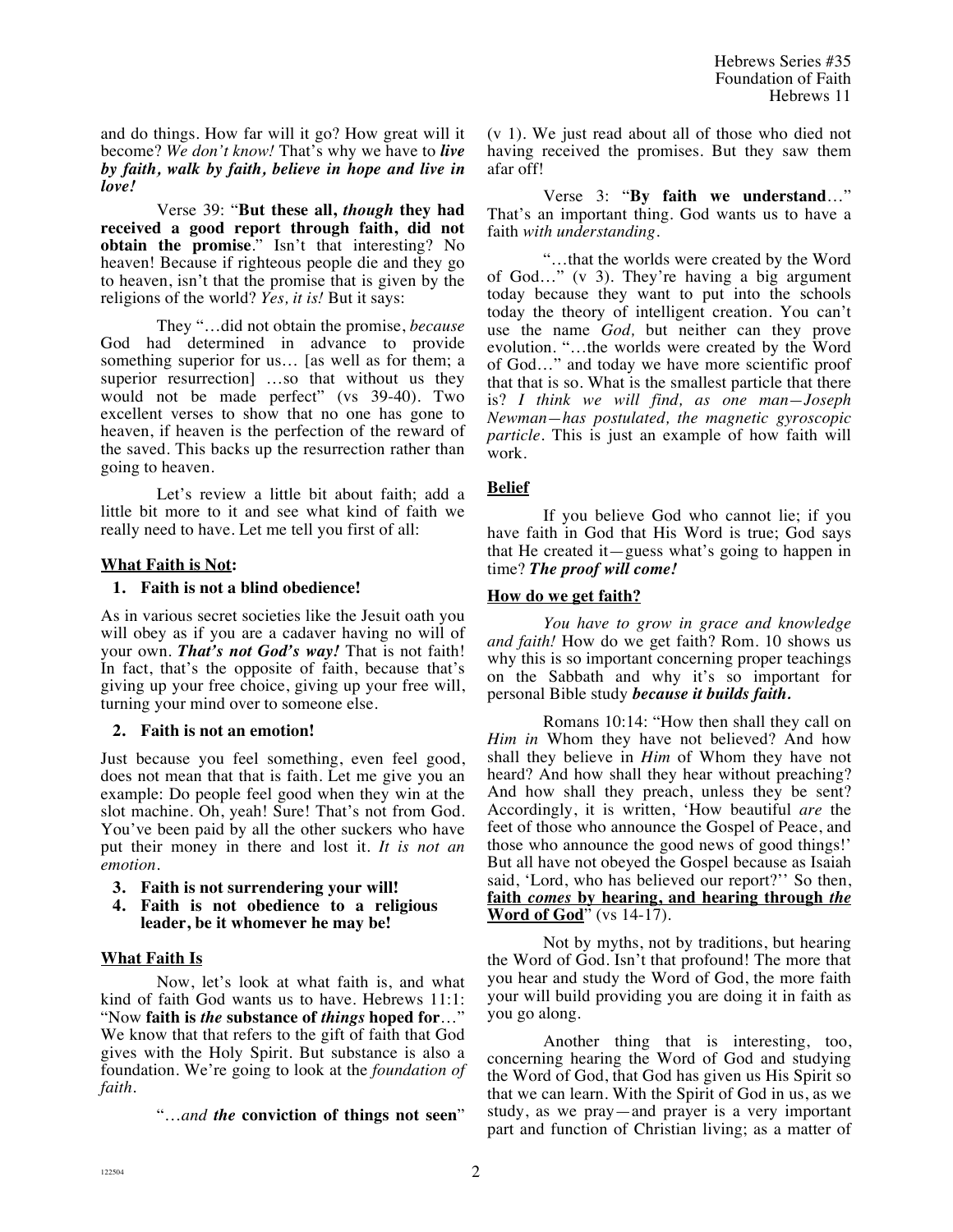and do things. How far will it go? How great will it become? *We don't know!* That's why we have to *live by faith, walk by faith, believe in hope and live in love!*

Verse 39: "**But these all,** *though* **they had received a good report through faith, did not obtain the promise**." Isn't that interesting? No heaven! Because if righteous people die and they go to heaven, isn't that the promise that is given by the religions of the world? *Yes, it is!* But it says:

They "…did not obtain the promise, *because* God had determined in advance to provide something superior for us… [as well as for them; a superior resurrection] …so that without us they would not be made perfect" (vs 39-40). Two excellent verses to show that no one has gone to heaven, if heaven is the perfection of the reward of the saved. This backs up the resurrection rather than going to heaven.

Let's review a little bit about faith; add a little bit more to it and see what kind of faith we really need to have. Let me tell you first of all:

#### **What Faith is Not:**

#### **1. Faith is not a blind obedience!**

As in various secret societies like the Jesuit oath you will obey as if you are a cadaver having no will of your own. *That's not God's way!* That is not faith! In fact, that's the opposite of faith, because that's giving up your free choice, giving up your free will, turning your mind over to someone else.

# **2. Faith is not an emotion!**

Just because you feel something, even feel good, does not mean that that is faith. Let me give you an example: Do people feel good when they win at the slot machine. Oh, yeah! Sure! That's not from God. You've been paid by all the other suckers who have put their money in there and lost it. *It is not an emotion.* 

- **3. Faith is not surrendering your will!**
- **4. Faith is not obedience to a religious leader, be it whomever he may be!**

# **What Faith Is**

Now, let's look at what faith is, and what kind of faith God wants us to have. Hebrews 11:1: "Now **faith is** *the* **substance of** *things* **hoped for**…" We know that that refers to the gift of faith that God gives with the Holy Spirit. But substance is also a foundation. We're going to look at the *foundation of faith*.

"…*and the* **conviction of things not seen**"

(v 1). We just read about all of those who died not having received the promises. But they saw them afar off!

Verse 3: "**By faith we understand**…" That's an important thing. God wants us to have a faith *with understanding.*

"…that the worlds were created by the Word of God…" (v 3). They're having a big argument today because they want to put into the schools today the theory of intelligent creation. You can't use the name *God,* but neither can they prove evolution. "…the worlds were created by the Word of God…" and today we have more scientific proof that that is so. What is the smallest particle that there is? *I think we will find, as one man—Joseph Newman—has postulated, the magnetic gyroscopic particle.* This is just an example of how faith will work.

# **Belief**

If you believe God who cannot lie; if you have faith in God that His Word is true; God says that He created it—guess what's going to happen in time? *The proof will come!*

#### **How do we get faith?**

*You have to grow in grace and knowledge and faith!* How do we get faith? Rom. 10 shows us why this is so important concerning proper teachings on the Sabbath and why it's so important for personal Bible study *because it builds faith.*

Romans 10:14: "How then shall they call on *Him in* Whom they have not believed? And how shall they believe in *Him* of Whom they have not heard? And how shall they hear without preaching? And how shall they preach, unless they be sent? Accordingly, it is written, 'How beautiful *are* the feet of those who announce the Gospel of Peace, and those who announce the good news of good things!' But all have not obeyed the Gospel because as Isaiah said, 'Lord, who has believed our report?'' So then, **faith** *comes* **by hearing, and hearing through** *the* **Word of God**" (vs 14-17).

Not by myths, not by traditions, but hearing the Word of God. Isn't that profound! The more that you hear and study the Word of God, the more faith your will build providing you are doing it in faith as you go along.

Another thing that is interesting, too, concerning hearing the Word of God and studying the Word of God, that God has given us His Spirit so that we can learn. With the Spirit of God in us, as we study, as we pray—and prayer is a very important part and function of Christian living; as a matter of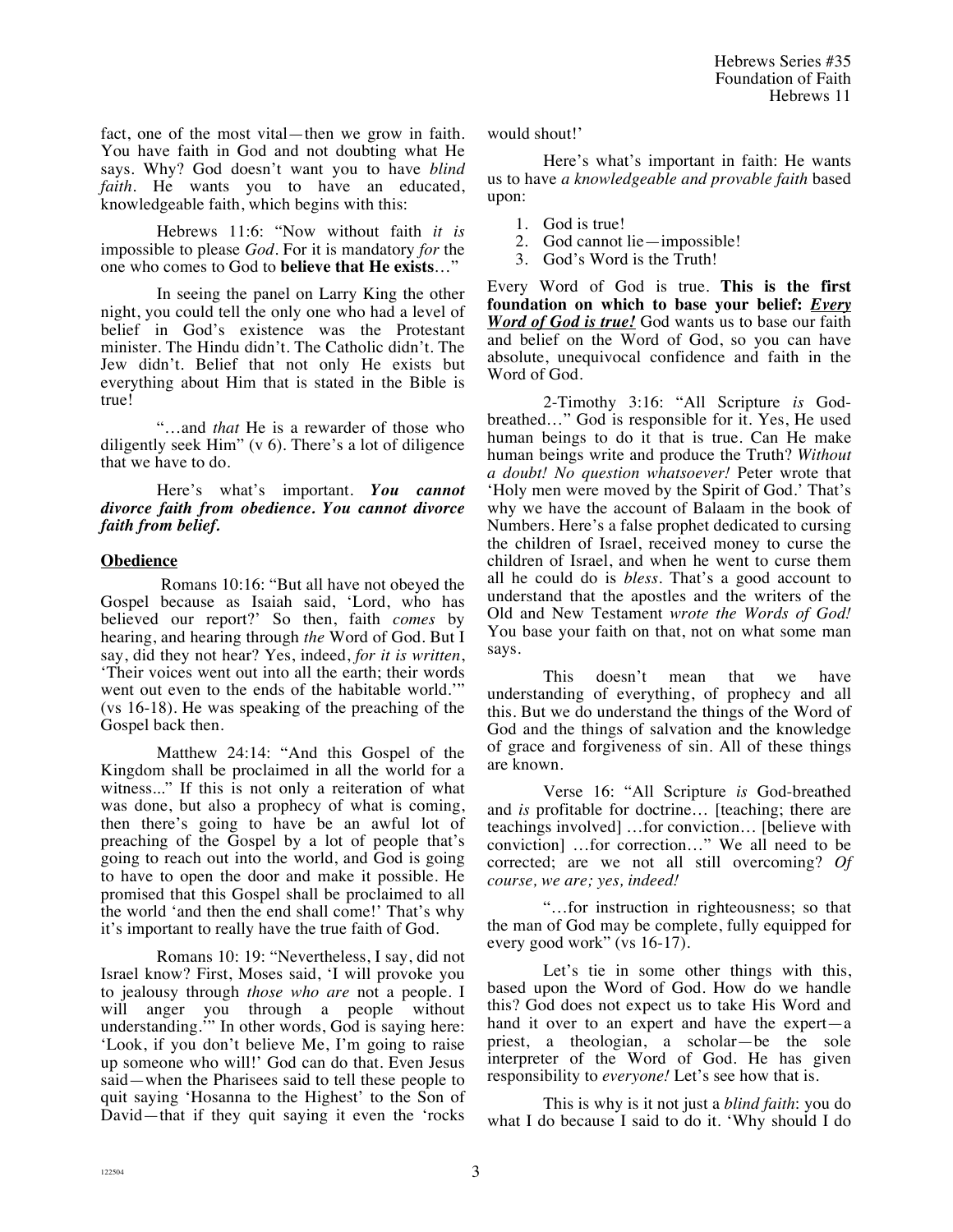fact, one of the most vital—then we grow in faith. You have faith in God and not doubting what He says. Why? God doesn't want you to have *blind faith*. He wants you to have an educated, knowledgeable faith, which begins with this:

Hebrews 11:6: "Now without faith *it is* impossible to please *God*. For it is mandatory *for* the one who comes to God to **believe that He exists**…"

In seeing the panel on Larry King the other night, you could tell the only one who had a level of belief in God's existence was the Protestant minister. The Hindu didn't. The Catholic didn't. The Jew didn't. Belief that not only He exists but everything about Him that is stated in the Bible is true!

"…and *that* He is a rewarder of those who diligently seek Him" (v 6). There's a lot of diligence that we have to do.

Here's what's important. *You cannot divorce faith from obedience. You cannot divorce faith from belief.* 

#### **Obedience**

 Romans 10:16: "But all have not obeyed the Gospel because as Isaiah said, 'Lord, who has believed our report?' So then, faith *comes* by hearing, and hearing through *the* Word of God. But I say, did they not hear? Yes, indeed, *for it is written*, 'Their voices went out into all the earth; their words went out even to the ends of the habitable world.'" (vs 16-18). He was speaking of the preaching of the Gospel back then.

Matthew 24:14: "And this Gospel of the Kingdom shall be proclaimed in all the world for a witness..." If this is not only a reiteration of what was done, but also a prophecy of what is coming, then there's going to have be an awful lot of preaching of the Gospel by a lot of people that's going to reach out into the world, and God is going to have to open the door and make it possible. He promised that this Gospel shall be proclaimed to all the world 'and then the end shall come!' That's why it's important to really have the true faith of God.

Romans 10: 19: "Nevertheless, I say, did not Israel know? First, Moses said, 'I will provoke you to jealousy through *those who are* not a people. I will anger you through a people without understanding.'" In other words, God is saying here: 'Look, if you don't believe Me, I'm going to raise up someone who will!' God can do that. Even Jesus said—when the Pharisees said to tell these people to quit saying 'Hosanna to the Highest' to the Son of David—that if they quit saying it even the 'rocks

would shout!'

Here's what's important in faith: He wants us to have *a knowledgeable and provable faith* based upon:

- 1. God is true!
- 2. God cannot lie—impossible!
- 3. God's Word is the Truth!

Every Word of God is true. **This is the first foundation on which to base your belief:** *Every Word of God is true!* God wants us to base our faith and belief on the Word of God, so you can have absolute, unequivocal confidence and faith in the Word of God.

2-Timothy 3:16: "All Scripture *is* Godbreathed…" God is responsible for it. Yes, He used human beings to do it that is true. Can He make human beings write and produce the Truth? *Without a doubt! No question whatsoever!* Peter wrote that 'Holy men were moved by the Spirit of God.' That's why we have the account of Balaam in the book of Numbers. Here's a false prophet dedicated to cursing the children of Israel, received money to curse the children of Israel, and when he went to curse them all he could do is *bless.* That's a good account to understand that the apostles and the writers of the Old and New Testament *wrote the Words of God!* You base your faith on that, not on what some man says.

This doesn't mean that we have understanding of everything, of prophecy and all this. But we do understand the things of the Word of God and the things of salvation and the knowledge of grace and forgiveness of sin. All of these things are known.

Verse 16: "All Scripture *is* God-breathed and *is* profitable for doctrine… [teaching; there are teachings involved] …for conviction… [believe with conviction] …for correction…" We all need to be corrected; are we not all still overcoming? *Of course, we are; yes, indeed!*

"…for instruction in righteousness; so that the man of God may be complete, fully equipped for every good work" (vs 16-17).

Let's tie in some other things with this, based upon the Word of God. How do we handle this? God does not expect us to take His Word and hand it over to an expert and have the expert—a priest, a theologian, a scholar—be the sole interpreter of the Word of God. He has given responsibility to *everyone!* Let's see how that is.

This is why is it not just a *blind faith*: you do what I do because I said to do it. 'Why should I do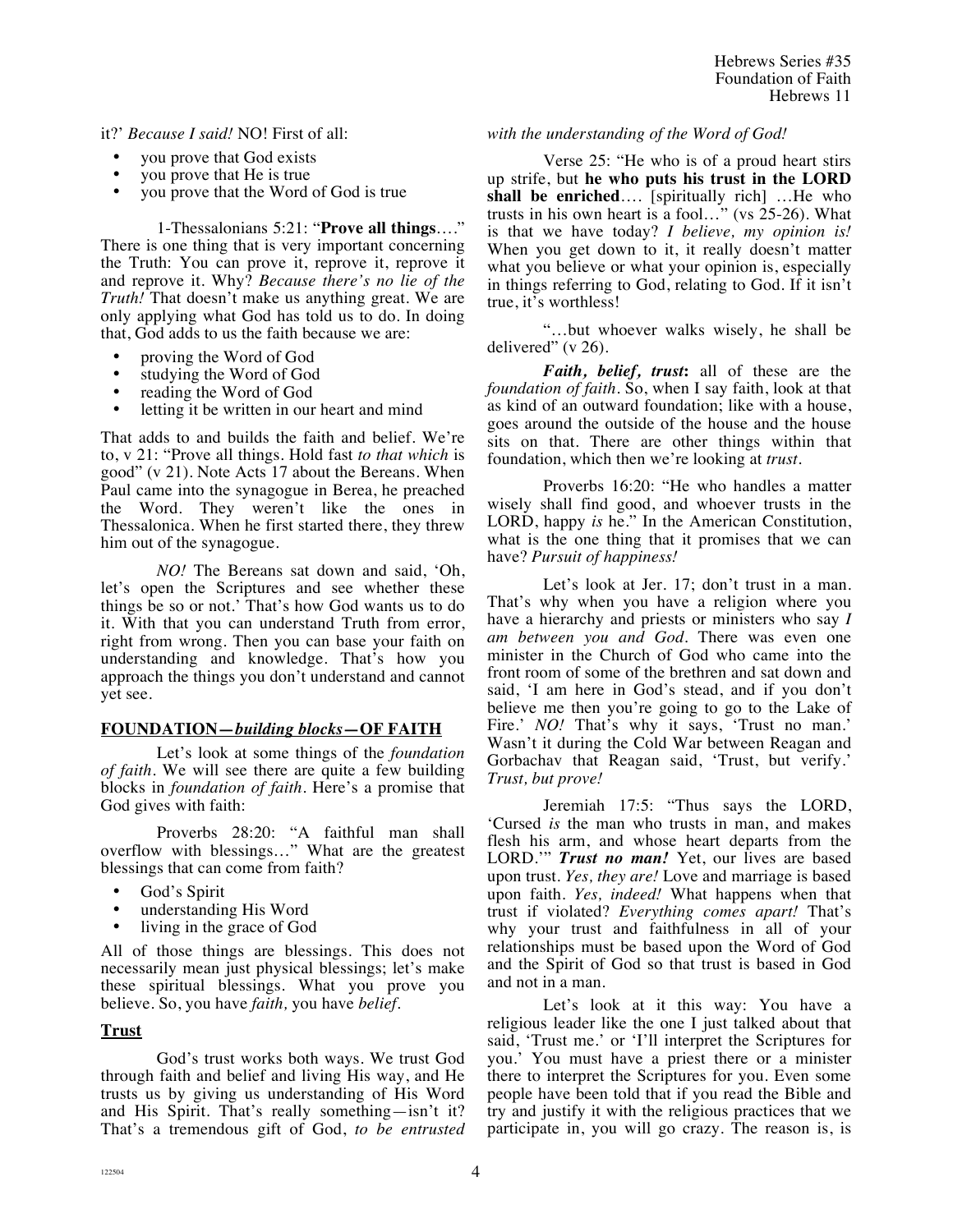it?' *Because I said!* NO! First of all:

- you prove that God exists
- you prove that He is true
- you prove that the Word of God is true

1-Thessalonians 5:21: "**Prove all things**…." There is one thing that is very important concerning the Truth: You can prove it, reprove it, reprove it and reprove it. Why? *Because there's no lie of the Truth!* That doesn't make us anything great. We are only applying what God has told us to do. In doing that, God adds to us the faith because we are:

- proving the Word of God
- studying the Word of God<br>• reading the Word of God
- reading the Word of God<br>• letting it be written in our
- letting it be written in our heart and mind

That adds to and builds the faith and belief. We're to, v 21: "Prove all things. Hold fast *to that which* is good" (v 21). Note Acts 17 about the Bereans. When Paul came into the synagogue in Berea, he preached the Word. They weren't like the ones in Thessalonica. When he first started there, they threw him out of the synagogue.

*NO!* The Bereans sat down and said, 'Oh, let's open the Scriptures and see whether these things be so or not.' That's how God wants us to do it. With that you can understand Truth from error, right from wrong. Then you can base your faith on understanding and knowledge. That's how you approach the things you don't understand and cannot yet see.

# **FOUNDATION—***building blocks***—OF FAITH**

Let's look at some things of the *foundation of faith*. We will see there are quite a few building blocks in *foundation of faith*. Here's a promise that God gives with faith:

Proverbs 28:20: "A faithful man shall overflow with blessings…" What are the greatest blessings that can come from faith?

- God's Spirit
- understanding His Word
- living in the grace of God

All of those things are blessings. This does not necessarily mean just physical blessings; let's make these spiritual blessings. What you prove you believe. So, you have *faith,* you have *belief*.

# **Trust**

God's trust works both ways. We trust God through faith and belief and living His way, and He trusts us by giving us understanding of His Word and His Spirit. That's really something—isn't it? That's a tremendous gift of God, *to be entrusted*  *with the understanding of the Word of God!*

Verse 25: "He who is of a proud heart stirs up strife, but **he who puts his trust in the LORD shall be enriched**…. [spiritually rich] …He who trusts in his own heart is a fool…" (vs 25-26). What is that we have today? *I believe, my opinion is!* When you get down to it, it really doesn't matter what you believe or what your opinion is, especially in things referring to God, relating to God. If it isn't true, it's worthless!

"…but whoever walks wisely, he shall be delivered" (v 26).

*Faith, belief, trust***:** all of these are the *foundation of faith*. So, when I say faith, look at that as kind of an outward foundation; like with a house, goes around the outside of the house and the house sits on that. There are other things within that foundation, which then we're looking at *trust.*

Proverbs 16:20: "He who handles a matter wisely shall find good, and whoever trusts in the LORD, happy *is* he." In the American Constitution, what is the one thing that it promises that we can have? *Pursuit of happiness!*

Let's look at Jer. 17; don't trust in a man. That's why when you have a religion where you have a hierarchy and priests or ministers who say *I am between you and God.* There was even one minister in the Church of God who came into the front room of some of the brethren and sat down and said, 'I am here in God's stead, and if you don't believe me then you're going to go to the Lake of Fire.' *NO!* That's why it says, 'Trust no man.' Wasn't it during the Cold War between Reagan and Gorbachav that Reagan said, 'Trust, but verify.' *Trust, but prove!*

Jeremiah 17:5: "Thus says the LORD, 'Cursed *is* the man who trusts in man, and makes flesh his arm, and whose heart departs from the LORD.'" *Trust no man!* Yet, our lives are based upon trust. *Yes, they are!* Love and marriage is based upon faith. *Yes, indeed!* What happens when that trust if violated? *Everything comes apart!* That's why your trust and faithfulness in all of your relationships must be based upon the Word of God and the Spirit of God so that trust is based in God and not in a man.

Let's look at it this way: You have a religious leader like the one I just talked about that said, 'Trust me.' or 'I'll interpret the Scriptures for you.' You must have a priest there or a minister there to interpret the Scriptures for you. Even some people have been told that if you read the Bible and try and justify it with the religious practices that we participate in, you will go crazy. The reason is, is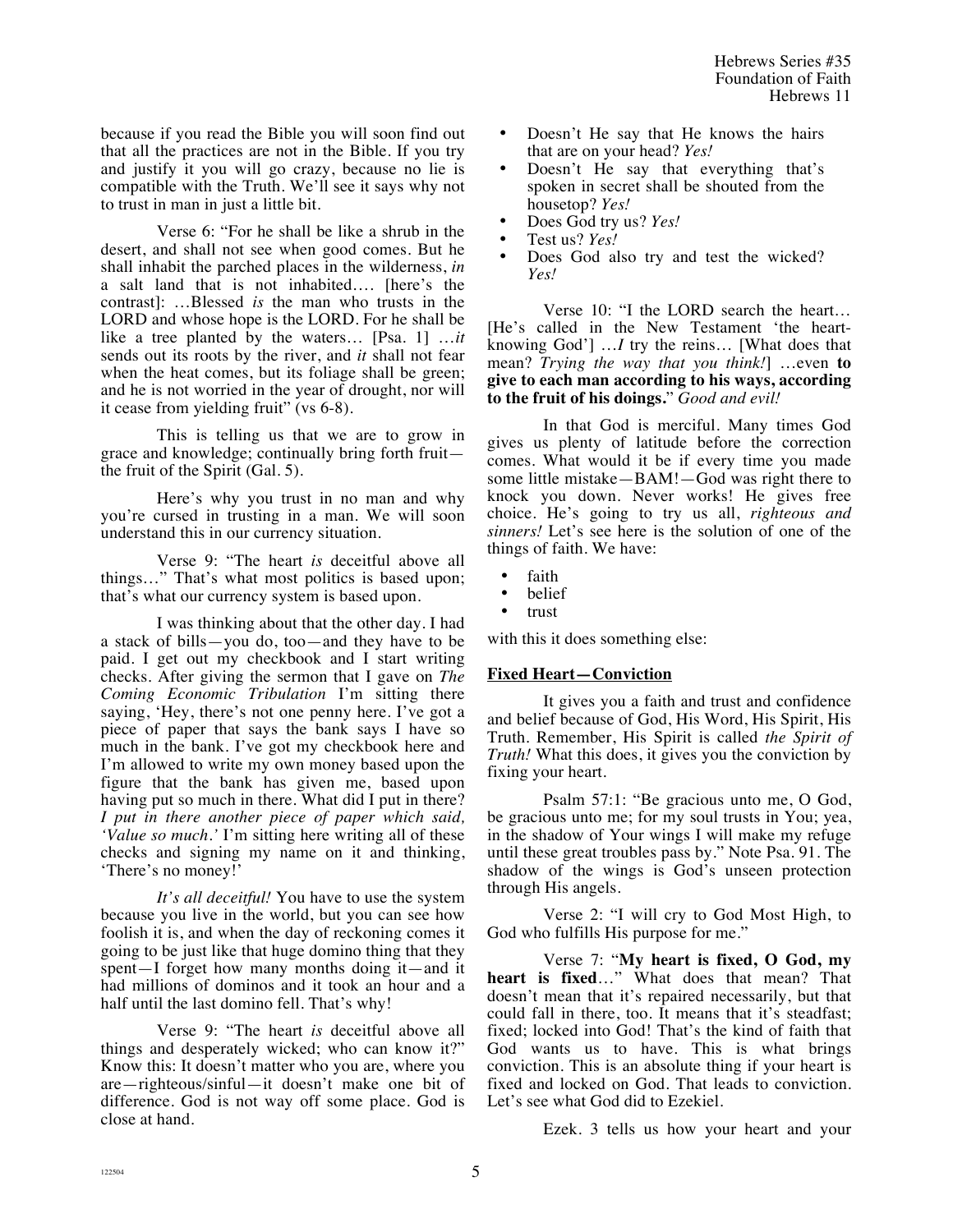because if you read the Bible you will soon find out that all the practices are not in the Bible. If you try and justify it you will go crazy, because no lie is compatible with the Truth. We'll see it says why not to trust in man in just a little bit.

Verse 6: "For he shall be like a shrub in the desert, and shall not see when good comes. But he shall inhabit the parched places in the wilderness, *in* a salt land that is not inhabited…. [here's the contrast]: …Blessed *is* the man who trusts in the LORD and whose hope is the LORD. For he shall be like a tree planted by the waters… [Psa. 1] …*it* sends out its roots by the river, and *it* shall not fear when the heat comes, but its foliage shall be green; and he is not worried in the year of drought, nor will it cease from yielding fruit" (vs 6-8).

This is telling us that we are to grow in grace and knowledge; continually bring forth fruit the fruit of the Spirit (Gal. 5).

Here's why you trust in no man and why you're cursed in trusting in a man. We will soon understand this in our currency situation.

Verse 9: "The heart *is* deceitful above all things…" That's what most politics is based upon; that's what our currency system is based upon.

I was thinking about that the other day. I had a stack of bills—you do, too—and they have to be paid. I get out my checkbook and I start writing checks. After giving the sermon that I gave on *The Coming Economic Tribulation* I'm sitting there saying, 'Hey, there's not one penny here. I've got a piece of paper that says the bank says I have so much in the bank. I've got my checkbook here and I'm allowed to write my own money based upon the figure that the bank has given me, based upon having put so much in there. What did I put in there? *I put in there another piece of paper which said, 'Value so much.'* I'm sitting here writing all of these checks and signing my name on it and thinking, 'There's no money!'

*It's all deceitful!* You have to use the system because you live in the world, but you can see how foolish it is, and when the day of reckoning comes it going to be just like that huge domino thing that they spent—I forget how many months doing it—and it had millions of dominos and it took an hour and a half until the last domino fell. That's why!

Verse 9: "The heart *is* deceitful above all things and desperately wicked; who can know it?" Know this: It doesn't matter who you are, where you are—righteous/sinful—it doesn't make one bit of difference. God is not way off some place. God is close at hand.

- Doesn't He say that He knows the hairs that are on your head? *Yes!*
- Doesn't He say that everything that's spoken in secret shall be shouted from the housetop? *Yes!*
- Does God try us? *Yes!*
- Test us? *Yes!*
- Does God also try and test the wicked? *Yes!*

Verse 10: "I the LORD search the heart… [He's called in the New Testament 'the heartknowing God'] …*I* try the reins… [What does that mean? *Trying the way that you think!*] …even **to give to each man according to his ways, according to the fruit of his doings.**" *Good and evil!*

In that God is merciful. Many times God gives us plenty of latitude before the correction comes. What would it be if every time you made some little mistake—BAM!—God was right there to knock you down. Never works! He gives free choice. He's going to try us all, *righteous and sinners!* Let's see here is the solution of one of the things of faith. We have:

- faith
- belief
- trust

with this it does something else:

# **Fixed Heart—Conviction**

It gives you a faith and trust and confidence and belief because of God, His Word, His Spirit, His Truth. Remember, His Spirit is called *the Spirit of Truth!* What this does, it gives you the conviction by fixing your heart.

Psalm 57:1: "Be gracious unto me, O God, be gracious unto me; for my soul trusts in You; yea, in the shadow of Your wings I will make my refuge until these great troubles pass by." Note Psa. 91. The shadow of the wings is God's unseen protection through His angels.

Verse 2: "I will cry to God Most High, to God who fulfills His purpose for me."

Verse 7: "**My heart is fixed, O God, my heart is fixed**…" What does that mean? That doesn't mean that it's repaired necessarily, but that could fall in there, too. It means that it's steadfast; fixed; locked into God! That's the kind of faith that God wants us to have. This is what brings conviction. This is an absolute thing if your heart is fixed and locked on God. That leads to conviction. Let's see what God did to Ezekiel.

Ezek. 3 tells us how your heart and your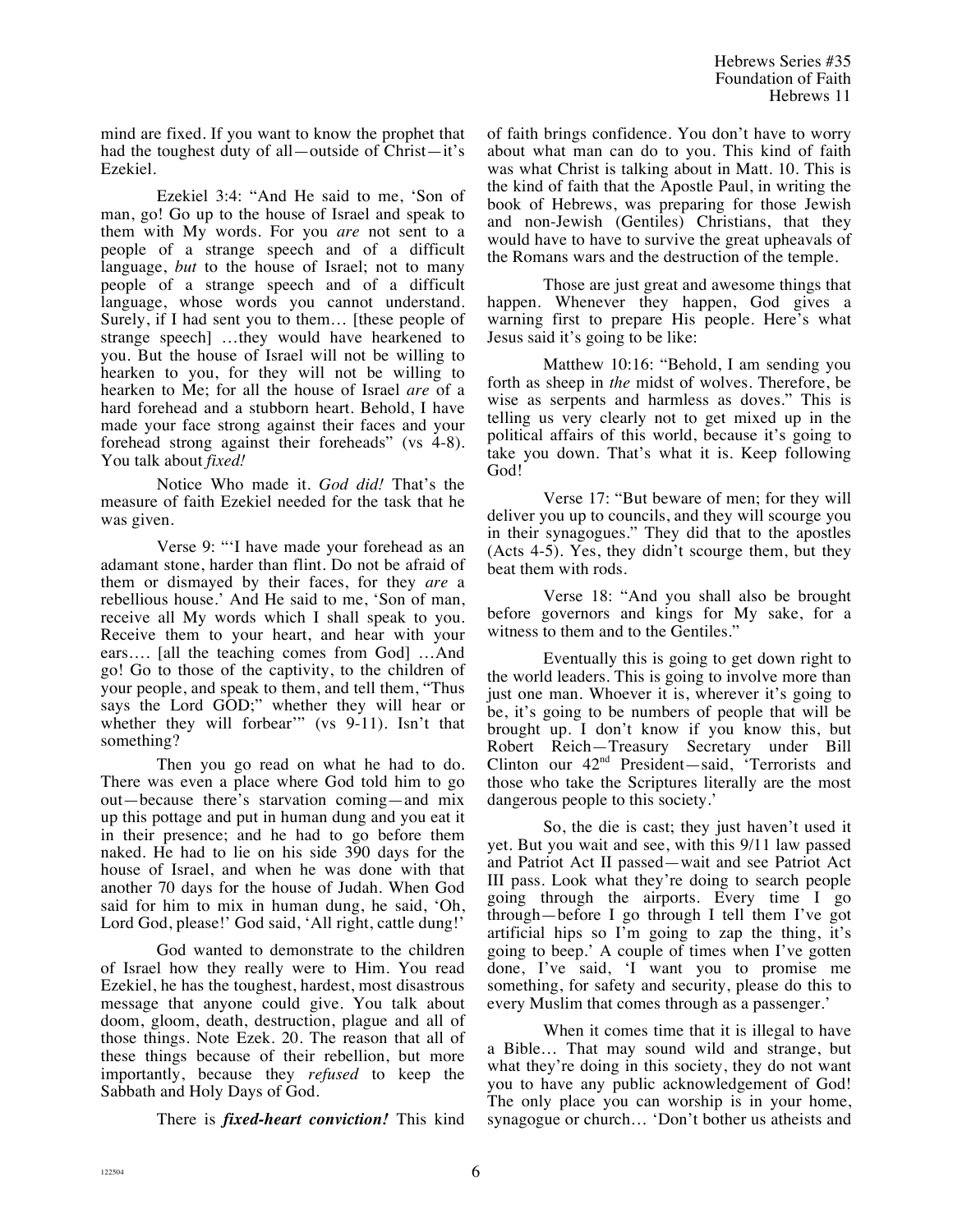mind are fixed. If you want to know the prophet that had the toughest duty of all—outside of Christ—it's Ezekiel.

Ezekiel 3:4: "And He said to me, 'Son of man, go! Go up to the house of Israel and speak to them with My words. For you *are* not sent to a people of a strange speech and of a difficult language, *but* to the house of Israel; not to many people of a strange speech and of a difficult language, whose words you cannot understand. Surely, if I had sent you to them… [these people of strange speech] …they would have hearkened to you. But the house of Israel will not be willing to hearken to you, for they will not be willing to hearken to Me; for all the house of Israel *are* of a hard forehead and a stubborn heart. Behold, I have made your face strong against their faces and your forehead strong against their foreheads" (vs 4-8). You talk about *fixed!*

Notice Who made it. *God did!* That's the measure of faith Ezekiel needed for the task that he was given.

Verse 9: "'I have made your forehead as an adamant stone, harder than flint. Do not be afraid of them or dismayed by their faces, for they *are* a rebellious house.' And He said to me, 'Son of man, receive all My words which I shall speak to you. Receive them to your heart, and hear with your ears…. [all the teaching comes from God] …And go! Go to those of the captivity, to the children of your people, and speak to them, and tell them, "Thus says the Lord GOD;" whether they will hear or whether they will forbear" (vs 9-11). Isn't that something?

Then you go read on what he had to do. There was even a place where God told him to go out—because there's starvation coming—and mix up this pottage and put in human dung and you eat it in their presence; and he had to go before them naked. He had to lie on his side 390 days for the house of Israel, and when he was done with that another 70 days for the house of Judah. When God said for him to mix in human dung, he said, 'Oh, Lord God, please!' God said, 'All right, cattle dung!'

God wanted to demonstrate to the children of Israel how they really were to Him. You read Ezekiel, he has the toughest, hardest, most disastrous message that anyone could give. You talk about doom, gloom, death, destruction, plague and all of those things. Note Ezek. 20. The reason that all of these things because of their rebellion, but more importantly, because they *refused* to keep the Sabbath and Holy Days of God.

There is *fixed-heart conviction!* This kind

of faith brings confidence. You don't have to worry about what man can do to you. This kind of faith was what Christ is talking about in Matt. 10. This is the kind of faith that the Apostle Paul, in writing the book of Hebrews, was preparing for those Jewish and non-Jewish (Gentiles) Christians, that they would have to have to survive the great upheavals of the Romans wars and the destruction of the temple.

Those are just great and awesome things that happen. Whenever they happen, God gives a warning first to prepare His people. Here's what Jesus said it's going to be like:

Matthew 10:16: "Behold, I am sending you forth as sheep in *the* midst of wolves. Therefore, be wise as serpents and harmless as doves." This is telling us very clearly not to get mixed up in the political affairs of this world, because it's going to take you down. That's what it is. Keep following God!

Verse 17: "But beware of men; for they will deliver you up to councils, and they will scourge you in their synagogues." They did that to the apostles (Acts 4-5). Yes, they didn't scourge them, but they beat them with rods.

Verse 18: "And you shall also be brought before governors and kings for My sake, for a witness to them and to the Gentiles."

Eventually this is going to get down right to the world leaders. This is going to involve more than just one man. Whoever it is, wherever it's going to be, it's going to be numbers of people that will be brought up. I don't know if you know this, but Robert Reich—Treasury Secretary under Bill Clinton our 42nd President—said, 'Terrorists and those who take the Scriptures literally are the most dangerous people to this society.'

So, the die is cast; they just haven't used it yet. But you wait and see, with this 9/11 law passed and Patriot Act II passed—wait and see Patriot Act III pass. Look what they're doing to search people going through the airports. Every time I go through—before I go through I tell them I've got artificial hips so I'm going to zap the thing, it's going to beep.' A couple of times when I've gotten done, I've said, 'I want you to promise me something, for safety and security, please do this to every Muslim that comes through as a passenger.'

When it comes time that it is illegal to have a Bible… That may sound wild and strange, but what they're doing in this society, they do not want you to have any public acknowledgement of God! The only place you can worship is in your home, synagogue or church… 'Don't bother us atheists and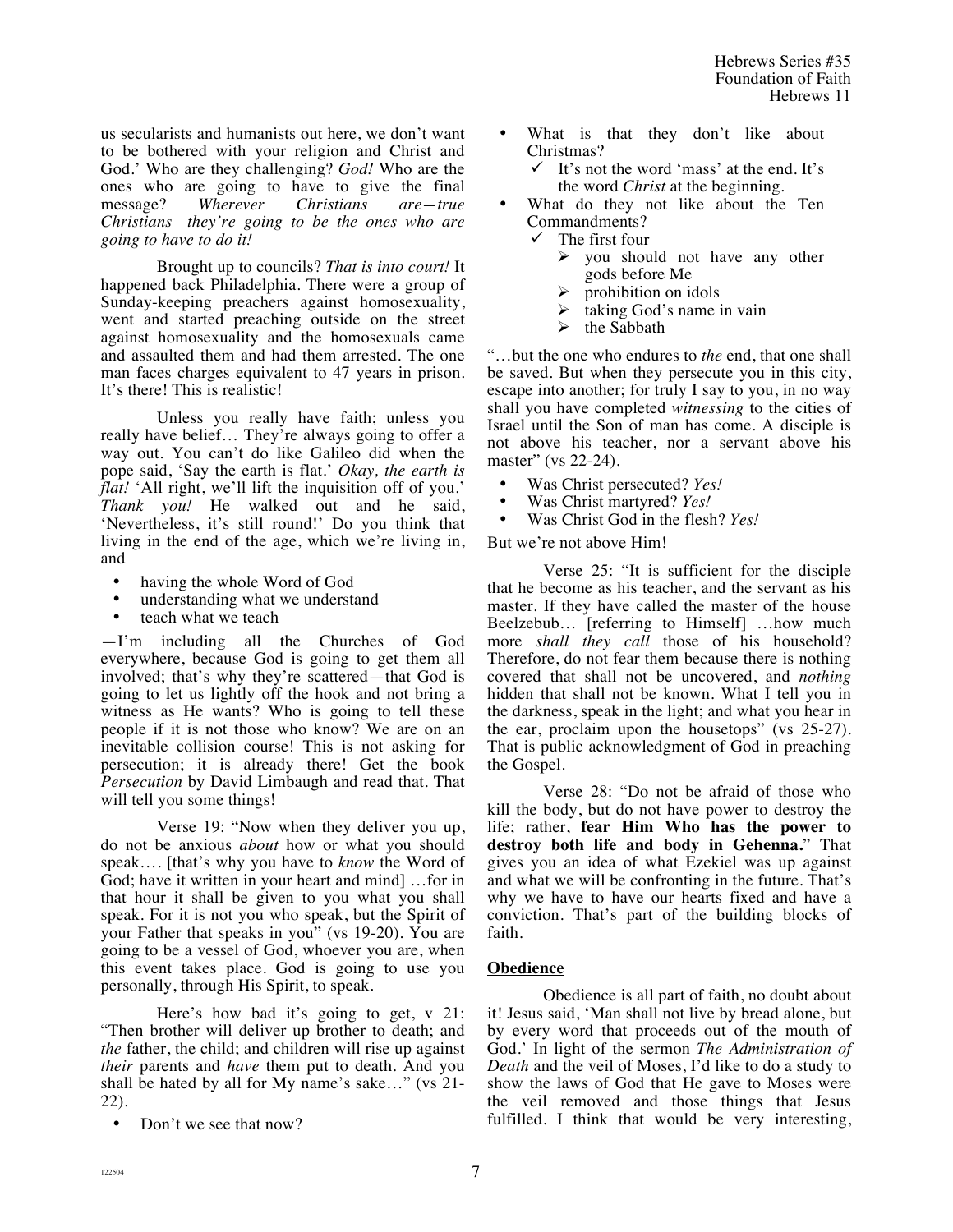us secularists and humanists out here, we don't want to be bothered with your religion and Christ and God.' Who are they challenging? *God!* Who are the ones who are going to have to give the final message? *Wherever Christians are—true Christians—they're going to be the ones who are going to have to do it!*

Brought up to councils? *That is into court!* It happened back Philadelphia. There were a group of Sunday-keeping preachers against homosexuality, went and started preaching outside on the street against homosexuality and the homosexuals came and assaulted them and had them arrested. The one man faces charges equivalent to 47 years in prison. It's there! This is realistic!

Unless you really have faith; unless you really have belief… They're always going to offer a way out. You can't do like Galileo did when the pope said, 'Say the earth is flat.' *Okay, the earth is flat!* 'All right, we'll lift the inquisition off of you.' *Thank you!* He walked out and he said, 'Nevertheless, it's still round!' Do you think that living in the end of the age, which we're living in, and

- having the whole Word of God
- understanding what we understand
- teach what we teach

—I'm including all the Churches of God everywhere, because God is going to get them all involved; that's why they're scattered—that God is going to let us lightly off the hook and not bring a witness as He wants? Who is going to tell these people if it is not those who know? We are on an inevitable collision course! This is not asking for persecution; it is already there! Get the book *Persecution* by David Limbaugh and read that. That will tell you some things!

Verse 19: "Now when they deliver you up, do not be anxious *about* how or what you should speak…. [that's why you have to *know* the Word of God; have it written in your heart and mind] …for in that hour it shall be given to you what you shall speak. For it is not you who speak, but the Spirit of your Father that speaks in you" (vs 19-20). You are going to be a vessel of God, whoever you are, when this event takes place. God is going to use you personally, through His Spirit, to speak.

Here's how bad it's going to get, v 21: "Then brother will deliver up brother to death; and *the* father, the child; and children will rise up against *their* parents and *have* them put to death. And you shall be hated by all for My name's sake…" (vs 21- 22).

Don't we see that now?

- What is that they don't like about Christmas?
	- It's not the word 'mass' at the end. It's the word *Christ* at the beginning.
- What do they not like about the Ten Commandments?<br> $\checkmark$  The first four
	- The first four
		- $\triangleright$  you should not have any other gods before Me
		- prohibition on idols
		- $\triangleright$  taking God's name in vain
		- $\triangleright$  the Sabbath

"…but the one who endures to *the* end, that one shall be saved. But when they persecute you in this city, escape into another; for truly I say to you, in no way shall you have completed *witnessing* to the cities of Israel until the Son of man has come. A disciple is not above his teacher, nor a servant above his master" (vs 22-24).

- Was Christ persecuted? *Yes!*
- Was Christ martyred? *Yes!*
- Was Christ God in the flesh? *Yes!*

But we're not above Him!

Verse 25: "It is sufficient for the disciple that he become as his teacher, and the servant as his master. If they have called the master of the house Beelzebub… [referring to Himself] …how much more *shall they call* those of his household? Therefore, do not fear them because there is nothing covered that shall not be uncovered, and *nothing* hidden that shall not be known. What I tell you in the darkness, speak in the light; and what you hear in the ear, proclaim upon the housetops" (vs 25-27). That is public acknowledgment of God in preaching the Gospel.

Verse 28: "Do not be afraid of those who kill the body, but do not have power to destroy the life; rather, **fear Him Who has the power to destroy both life and body in Gehenna.**" That gives you an idea of what Ezekiel was up against and what we will be confronting in the future. That's why we have to have our hearts fixed and have a conviction. That's part of the building blocks of faith.

#### **Obedience**

Obedience is all part of faith, no doubt about it! Jesus said, 'Man shall not live by bread alone, but by every word that proceeds out of the mouth of God.' In light of the sermon *The Administration of Death* and the veil of Moses, I'd like to do a study to show the laws of God that He gave to Moses were the veil removed and those things that Jesus fulfilled. I think that would be very interesting,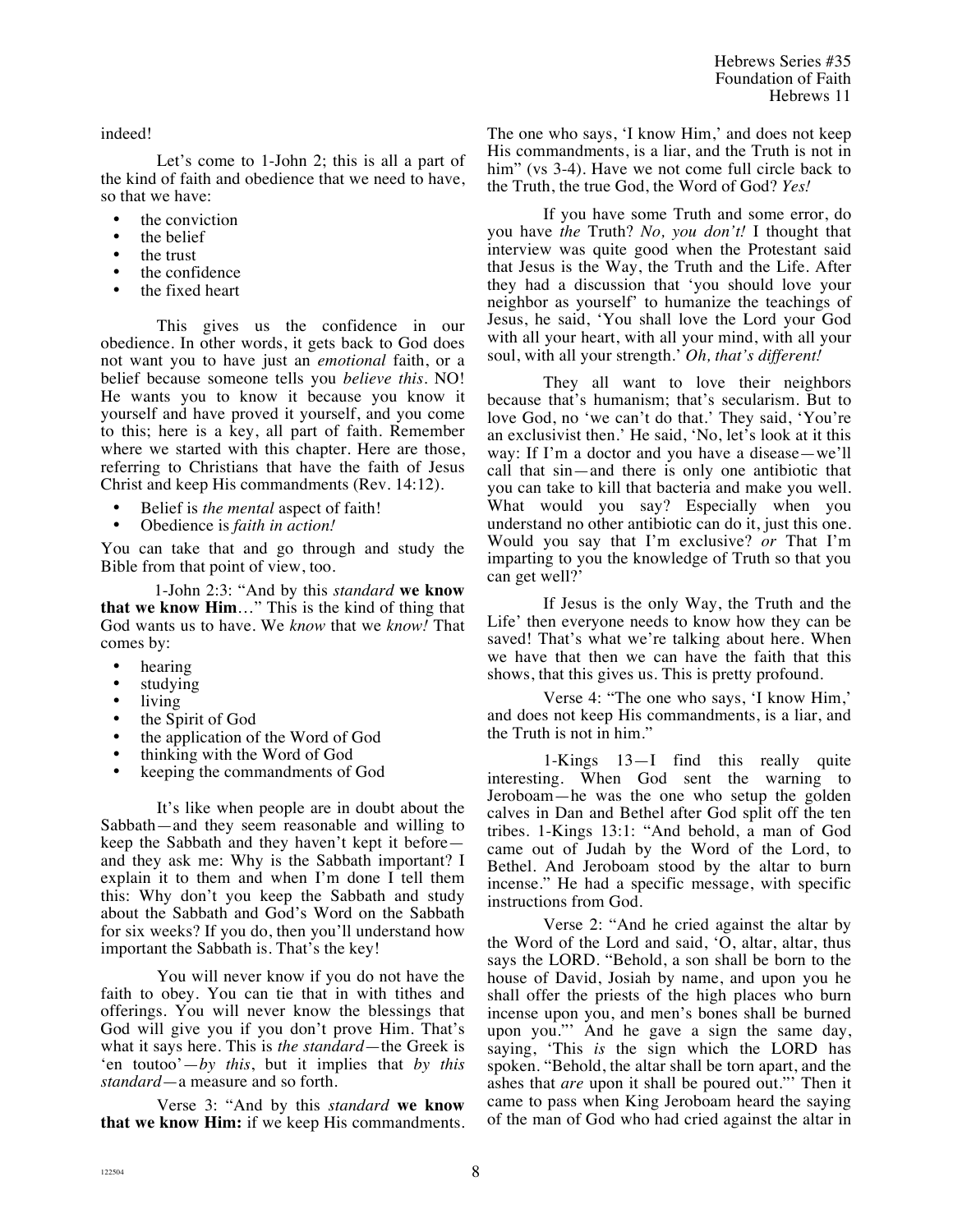indeed!

Let's come to 1-John 2; this is all a part of the kind of faith and obedience that we need to have, so that we have:

- the conviction
- the belief
- the trust
- the confidence
- the fixed heart

This gives us the confidence in our obedience. In other words, it gets back to God does not want you to have just an *emotional* faith, or a belief because someone tells you *believe this.* NO! He wants you to know it because you know it yourself and have proved it yourself, and you come to this; here is a key, all part of faith. Remember where we started with this chapter. Here are those, referring to Christians that have the faith of Jesus Christ and keep His commandments (Rev. 14:12).

- Belief is *the mental* aspect of faith!
- Obedience is *faith in action!*

You can take that and go through and study the Bible from that point of view, too.

1-John 2:3: "And by this *standard* **we know that we know Him**…" This is the kind of thing that God wants us to have. We *know* that we *know!* That comes by:

- hearing<br>• studying
- studying
- living<br>• the Sp
- the Spirit of God
- the application of the Word of God
- thinking with the Word of God
- keeping the commandments of God

It's like when people are in doubt about the Sabbath—and they seem reasonable and willing to keep the Sabbath and they haven't kept it before and they ask me: Why is the Sabbath important? I explain it to them and when I'm done I tell them this: Why don't you keep the Sabbath and study about the Sabbath and God's Word on the Sabbath for six weeks? If you do, then you'll understand how important the Sabbath is. That's the key!

You will never know if you do not have the faith to obey. You can tie that in with tithes and offerings. You will never know the blessings that God will give you if you don't prove Him. That's what it says here. This is *the standard*—the Greek is 'en toutoo'—*by this*, but it implies that *by this standard*—a measure and so forth.

Verse 3: "And by this *standard* **we know that we know Him:** if we keep His commandments. The one who says, 'I know Him,' and does not keep His commandments, is a liar, and the Truth is not in him" (vs 3-4). Have we not come full circle back to the Truth, the true God, the Word of God? *Yes!*

If you have some Truth and some error, do you have *the* Truth? *No, you don't!* I thought that interview was quite good when the Protestant said that Jesus is the Way, the Truth and the Life. After they had a discussion that 'you should love your neighbor as yourself' to humanize the teachings of Jesus, he said, 'You shall love the Lord your God with all your heart, with all your mind, with all your soul, with all your strength.' *Oh, that's different!* 

They all want to love their neighbors because that's humanism; that's secularism. But to love God, no 'we can't do that.' They said, 'You're an exclusivist then.' He said, 'No, let's look at it this way: If I'm a doctor and you have a disease—we'll call that sin—and there is only one antibiotic that you can take to kill that bacteria and make you well. What would you say? Especially when you understand no other antibiotic can do it, just this one. Would you say that I'm exclusive? *or* That I'm imparting to you the knowledge of Truth so that you can get well?'

If Jesus is the only Way, the Truth and the Life' then everyone needs to know how they can be saved! That's what we're talking about here. When we have that then we can have the faith that this shows, that this gives us. This is pretty profound.

Verse 4: "The one who says, 'I know Him,' and does not keep His commandments, is a liar, and the Truth is not in him."

1-Kings 13—I find this really quite interesting. When God sent the warning to Jeroboam—he was the one who setup the golden calves in Dan and Bethel after God split off the ten tribes. 1-Kings 13:1: "And behold, a man of God came out of Judah by the Word of the Lord, to Bethel. And Jeroboam stood by the altar to burn incense." He had a specific message, with specific instructions from God.

Verse 2: "And he cried against the altar by the Word of the Lord and said, 'O, altar, altar, thus says the LORD. "Behold, a son shall be born to the house of David, Josiah by name, and upon you he shall offer the priests of the high places who burn incense upon you, and men's bones shall be burned upon you."' And he gave a sign the same day, saying, 'This *is* the sign which the LORD has spoken. "Behold, the altar shall be torn apart, and the ashes that *are* upon it shall be poured out."' Then it came to pass when King Jeroboam heard the saying of the man of God who had cried against the altar in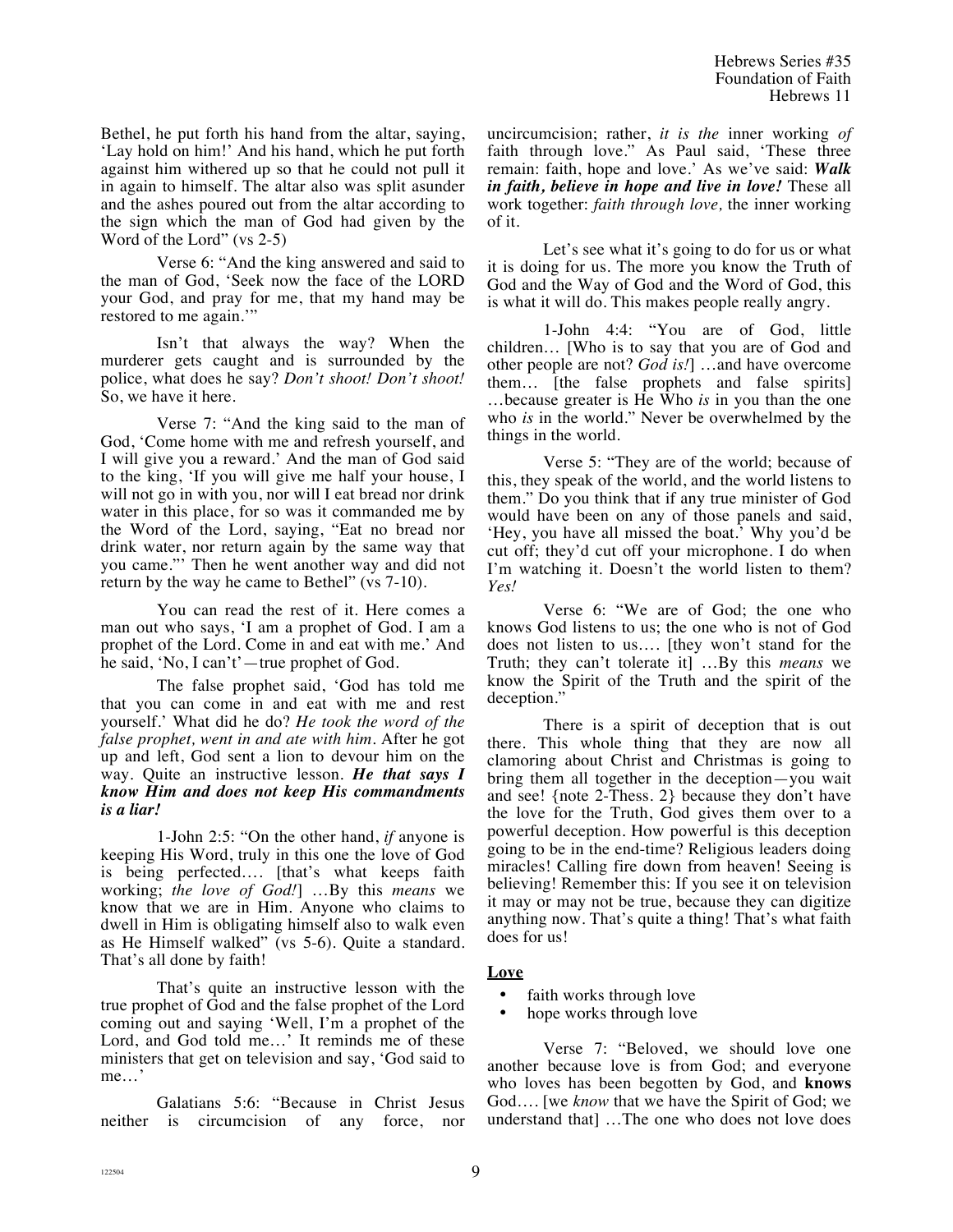Bethel, he put forth his hand from the altar, saying, 'Lay hold on him!' And his hand, which he put forth against him withered up so that he could not pull it in again to himself. The altar also was split asunder and the ashes poured out from the altar according to the sign which the man of God had given by the Word of the Lord" (vs 2-5)

Verse 6: "And the king answered and said to the man of God, 'Seek now the face of the LORD your God, and pray for me, that my hand may be restored to me again.'"

Isn't that always the way? When the murderer gets caught and is surrounded by the police, what does he say? *Don't shoot! Don't shoot!* So, we have it here.

Verse 7: "And the king said to the man of God, 'Come home with me and refresh yourself, and I will give you a reward.' And the man of God said to the king, 'If you will give me half your house, I will not go in with you, nor will I eat bread nor drink water in this place, for so was it commanded me by the Word of the Lord, saying, "Eat no bread nor drink water, nor return again by the same way that you came."' Then he went another way and did not return by the way he came to Bethel" (vs 7-10).

You can read the rest of it. Here comes a man out who says, 'I am a prophet of God. I am a prophet of the Lord. Come in and eat with me.' And he said, 'No, I can't'—true prophet of God.

The false prophet said, 'God has told me that you can come in and eat with me and rest yourself.' What did he do? *He took the word of the false prophet, went in and ate with him.* After he got up and left, God sent a lion to devour him on the way. Quite an instructive lesson. *He that says I know Him and does not keep His commandments is a liar!*

1-John 2:5: "On the other hand, *if* anyone is keeping His Word, truly in this one the love of God is being perfected…. [that's what keeps faith working; *the love of God!*] …By this *means* we know that we are in Him. Anyone who claims to dwell in Him is obligating himself also to walk even as He Himself walked" (vs 5-6). Quite a standard. That's all done by faith!

That's quite an instructive lesson with the true prophet of God and the false prophet of the Lord coming out and saying 'Well, I'm a prophet of the Lord, and God told me…' It reminds me of these ministers that get on television and say, 'God said to me…'

Galatians 5:6: "Because in Christ Jesus neither is circumcision of any force, nor

uncircumcision; rather, *it is the* inner working *of* faith through love." As Paul said, 'These three remain: faith, hope and love.' As we've said: *Walk in faith, believe in hope and live in love!* These all work together: *faith through love,* the inner working of it.

Let's see what it's going to do for us or what it is doing for us. The more you know the Truth of God and the Way of God and the Word of God, this is what it will do. This makes people really angry.

1-John 4:4: "You are of God, little children… [Who is to say that you are of God and other people are not? *God is!*] …and have overcome them… [the false prophets and false spirits] …because greater is He Who *is* in you than the one who *is* in the world." Never be overwhelmed by the things in the world.

Verse 5: "They are of the world; because of this, they speak of the world, and the world listens to them." Do you think that if any true minister of God would have been on any of those panels and said, 'Hey, you have all missed the boat.' Why you'd be cut off; they'd cut off your microphone. I do when I'm watching it. Doesn't the world listen to them? *Yes!*

Verse 6: "We are of God; the one who knows God listens to us; the one who is not of God does not listen to us…. [they won't stand for the Truth; they can't tolerate it] …By this *means* we know the Spirit of the Truth and the spirit of the deception."

There is a spirit of deception that is out there. This whole thing that they are now all clamoring about Christ and Christmas is going to bring them all together in the deception—you wait and see! {note 2-Thess. 2} because they don't have the love for the Truth, God gives them over to a powerful deception. How powerful is this deception going to be in the end-time? Religious leaders doing miracles! Calling fire down from heaven! Seeing is believing! Remember this: If you see it on television it may or may not be true, because they can digitize anything now. That's quite a thing! That's what faith does for us!

# **Love**

- faith works through love
- hope works through love

Verse 7: "Beloved, we should love one another because love is from God; and everyone who loves has been begotten by God, and **knows** God…. [we *know* that we have the Spirit of God; we understand that] …The one who does not love does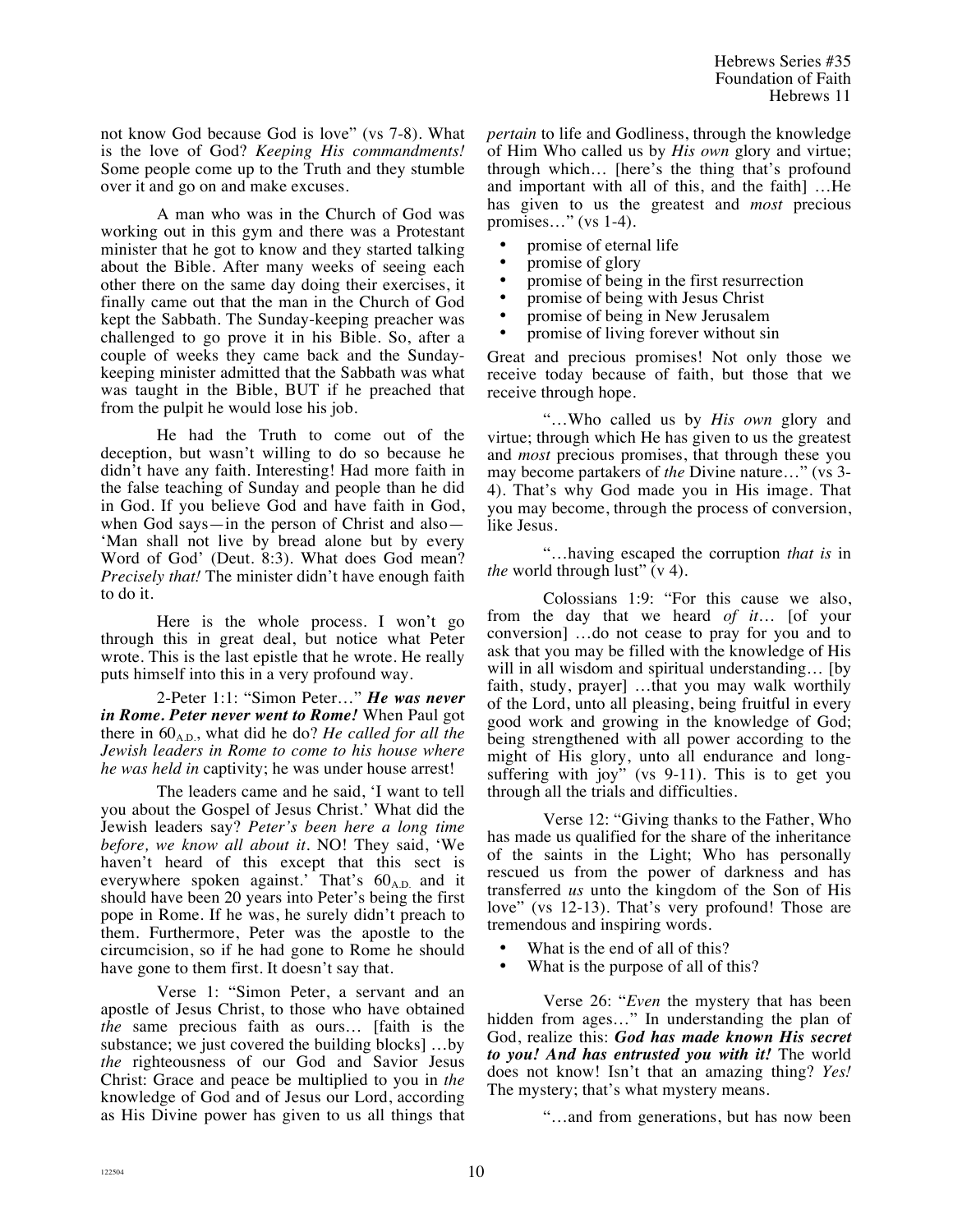not know God because God is love" (vs 7-8). What is the love of God? *Keeping His commandments!* Some people come up to the Truth and they stumble over it and go on and make excuses.

A man who was in the Church of God was working out in this gym and there was a Protestant minister that he got to know and they started talking about the Bible. After many weeks of seeing each other there on the same day doing their exercises, it finally came out that the man in the Church of God kept the Sabbath. The Sunday-keeping preacher was challenged to go prove it in his Bible. So, after a couple of weeks they came back and the Sundaykeeping minister admitted that the Sabbath was what was taught in the Bible, BUT if he preached that from the pulpit he would lose his job.

He had the Truth to come out of the deception, but wasn't willing to do so because he didn't have any faith. Interesting! Had more faith in the false teaching of Sunday and people than he did in God. If you believe God and have faith in God, when God says—in the person of Christ and also— 'Man shall not live by bread alone but by every Word of God' (Deut. 8:3). What does God mean? *Precisely that!* The minister didn't have enough faith to do it.

Here is the whole process. I won't go through this in great deal, but notice what Peter wrote. This is the last epistle that he wrote. He really puts himself into this in a very profound way.

2-Peter 1:1: "Simon Peter…" *He was never in Rome. Peter never went to Rome!* When Paul got there in  $60_{A,D}$ , what did he do? *He called for all the Jewish leaders in Rome to come to his house where he was held in* captivity; he was under house arrest!

The leaders came and he said, 'I want to tell you about the Gospel of Jesus Christ.' What did the Jewish leaders say? *Peter's been here a long time before, we know all about it.* NO! They said, 'We haven't heard of this except that this sect is everywhere spoken against.' That's  $60_{A,D}$  and it should have been 20 years into Peter's being the first pope in Rome. If he was, he surely didn't preach to them. Furthermore, Peter was the apostle to the circumcision, so if he had gone to Rome he should have gone to them first. It doesn't say that.

Verse 1: "Simon Peter, a servant and an apostle of Jesus Christ, to those who have obtained *the* same precious faith as ours… [faith is the substance; we just covered the building blocks] …by *the* righteousness of our God and Savior Jesus Christ: Grace and peace be multiplied to you in *the* knowledge of God and of Jesus our Lord, according as His Divine power has given to us all things that *pertain* to life and Godliness, through the knowledge of Him Who called us by *His own* glory and virtue; through which… [here's the thing that's profound and important with all of this, and the faith] …He has given to us the greatest and *most* precious promises…" (vs 1-4).

- promise of eternal life
- promise of glory<br>• promise of being
- promise of being in the first resurrection<br>• promise of being with Jesus Christ
- promise of being with Jesus Christ
- promise of being in New Jerusalem
- promise of living forever without sin

Great and precious promises! Not only those we receive today because of faith, but those that we receive through hope.

"…Who called us by *His own* glory and virtue; through which He has given to us the greatest and *most* precious promises, that through these you may become partakers of *the* Divine nature…" (vs 3- 4). That's why God made you in His image. That you may become, through the process of conversion, like Jesus.

"…having escaped the corruption *that is* in *the* world through lust" (v 4).

Colossians 1:9: "For this cause we also, from the day that we heard *of it*… [of your conversion] …do not cease to pray for you and to ask that you may be filled with the knowledge of His will in all wisdom and spiritual understanding... [by faith, study, prayer] …that you may walk worthily of the Lord, unto all pleasing, being fruitful in every good work and growing in the knowledge of God; being strengthened with all power according to the might of His glory, unto all endurance and longsuffering with joy" (vs 9-11). This is to get you through all the trials and difficulties.

Verse 12: "Giving thanks to the Father, Who has made us qualified for the share of the inheritance of the saints in the Light; Who has personally rescued us from the power of darkness and has transferred *us* unto the kingdom of the Son of His love" (vs 12-13). That's very profound! Those are tremendous and inspiring words.

- What is the end of all of this?
- What is the purpose of all of this?

Verse 26: "*Even* the mystery that has been hidden from ages…" In understanding the plan of God, realize this: *God has made known His secret to you! And has entrusted you with it!* The world does not know! Isn't that an amazing thing? *Yes!* The mystery; that's what mystery means.

"…and from generations, but has now been